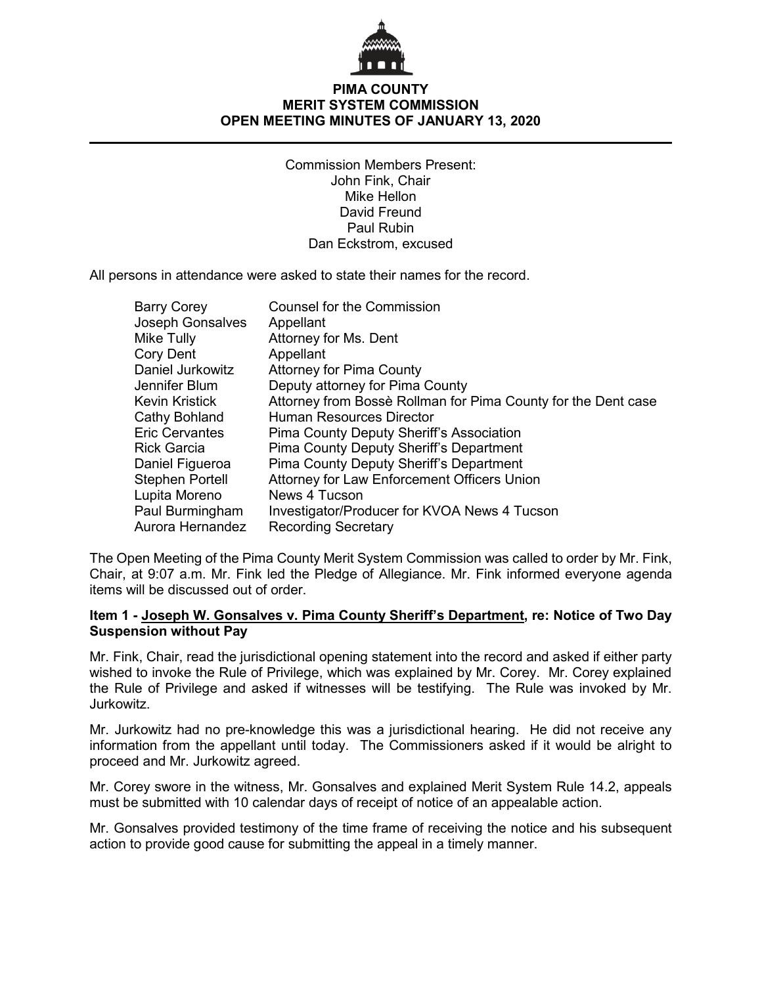

# **PIMA COUNTY MERIT SYSTEM COMMISSION OPEN MEETING MINUTES OF JANUARY 13, 2020**

Commission Members Present: John Fink, Chair Mike Hellon David Freund Paul Rubin Dan Eckstrom, excused

All persons in attendance were asked to state their names for the record.

| <b>Barry Corey</b>      | <b>Counsel for the Commission</b>                             |
|-------------------------|---------------------------------------------------------------|
| <b>Joseph Gonsalves</b> | Appellant                                                     |
| Mike Tully              | Attorney for Ms. Dent                                         |
| Cory Dent               | Appellant                                                     |
| Daniel Jurkowitz        | <b>Attorney for Pima County</b>                               |
| Jennifer Blum           | Deputy attorney for Pima County                               |
| Kevin Kristick          | Attorney from Bossè Rollman for Pima County for the Dent case |
| Cathy Bohland           | <b>Human Resources Director</b>                               |
| <b>Eric Cervantes</b>   | Pima County Deputy Sheriff's Association                      |
| Rick Garcia             | Pima County Deputy Sheriff's Department                       |
| Daniel Figueroa         | <b>Pima County Deputy Sheriff's Department</b>                |
| Stephen Portell         | Attorney for Law Enforcement Officers Union                   |
| Lupita Moreno           | News 4 Tucson                                                 |
| Paul Burmingham         | Investigator/Producer for KVOA News 4 Tucson                  |
| Aurora Hernandez        | <b>Recording Secretary</b>                                    |

The Open Meeting of the Pima County Merit System Commission was called to order by Mr. Fink, Chair, at 9:07 a.m. Mr. Fink led the Pledge of Allegiance. Mr. Fink informed everyone agenda items will be discussed out of order.

### **Item 1 - Joseph W. Gonsalves v. Pima County Sheriff's Department, re: Notice of Two Day Suspension without Pay**

Mr. Fink, Chair, read the jurisdictional opening statement into the record and asked if either party wished to invoke the Rule of Privilege, which was explained by Mr. Corey. Mr. Corey explained the Rule of Privilege and asked if witnesses will be testifying. The Rule was invoked by Mr. Jurkowitz.

Mr. Jurkowitz had no pre-knowledge this was a jurisdictional hearing. He did not receive any information from the appellant until today. The Commissioners asked if it would be alright to proceed and Mr. Jurkowitz agreed.

Mr. Corey swore in the witness, Mr. Gonsalves and explained Merit System Rule 14.2, appeals must be submitted with 10 calendar days of receipt of notice of an appealable action.

Mr. Gonsalves provided testimony of the time frame of receiving the notice and his subsequent action to provide good cause for submitting the appeal in a timely manner.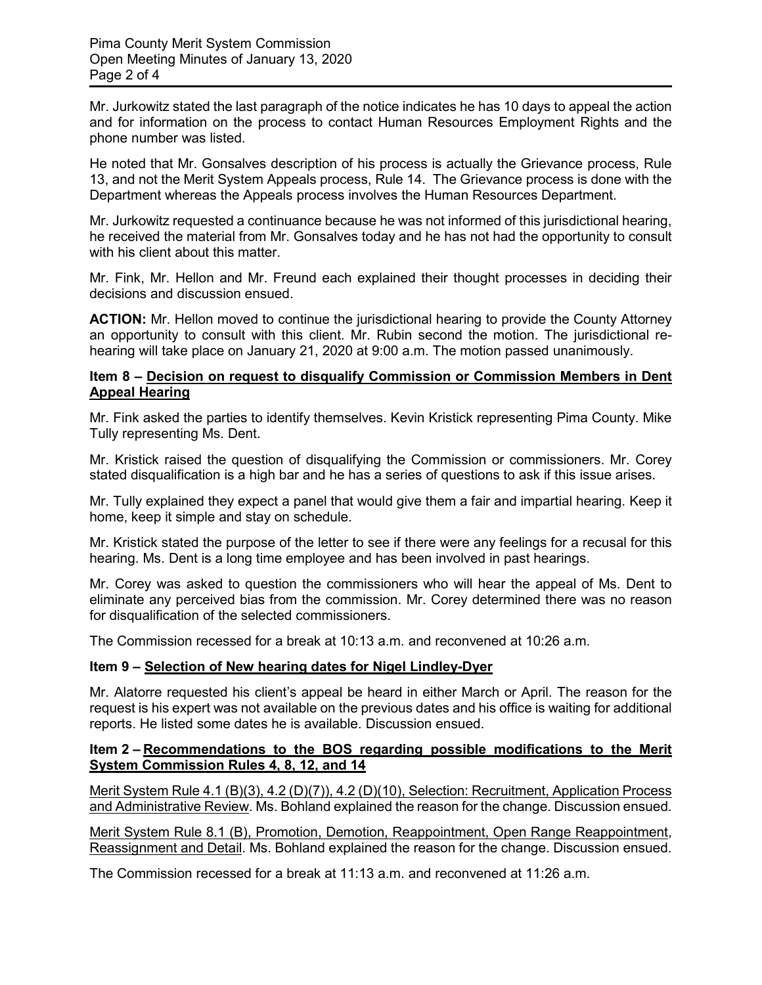Mr. Jurkowitz stated the last paragraph of the notice indicates he has 10 days to appeal the action and for information on the process to contact Human Resources Employment Rights and the phone number was listed.

He noted that Mr. Gonsalves description of his process is actually the Grievance process, Rule 13, and not the Merit System Appeals process, Rule 14. The Grievance process is done with the Department whereas the Appeals process involves the Human Resources Department.

Mr. Jurkowitz requested a continuance because he was not informed of this jurisdictional hearing, he received the material from Mr. Gonsalves today and he has not had the opportunity to consult with his client about this matter.

Mr. Fink, Mr. Hellon and Mr. Freund each explained their thought processes in deciding their decisions and discussion ensued.

**ACTION:** Mr. Hellon moved to continue the jurisdictional hearing to provide the County Attorney an opportunity to consult with this client. Mr. Rubin second the motion. The jurisdictional rehearing will take place on January 21, 2020 at 9:00 a.m. The motion passed unanimously.

### **Item 8 – Decision on request to disqualify Commission or Commission Members in Dent Appeal Hearing**

Mr. Fink asked the parties to identify themselves. Kevin Kristick representing Pima County. Mike Tully representing Ms. Dent.

Mr. Kristick raised the question of disqualifying the Commission or commissioners. Mr. Corey stated disqualification is a high bar and he has a series of questions to ask if this issue arises.

Mr. Tully explained they expect a panel that would give them a fair and impartial hearing. Keep it home, keep it simple and stay on schedule.

Mr. Kristick stated the purpose of the letter to see if there were any feelings for a recusal for this hearing. Ms. Dent is a long time employee and has been involved in past hearings.

Mr. Corey was asked to question the commissioners who will hear the appeal of Ms. Dent to eliminate any perceived bias from the commission. Mr. Corey determined there was no reason for disqualification of the selected commissioners.

The Commission recessed for a break at 10:13 a.m. and reconvened at 10:26 a.m.

# **Item 9 – Selection of New hearing dates for Nigel Lindley-Dyer**

Mr. Alatorre requested his client's appeal be heard in either March or April. The reason for the request is his expert was not available on the previous dates and his office is waiting for additional reports. He listed some dates he is available. Discussion ensued.

# **Item 2 – Recommendations to the BOS regarding possible modifications to the Merit System Commission Rules 4, 8, 12, and 14**

Merit System Rule 4.1 (B)(3), 4.2 (D)(7)), 4.2 (D)(10), Selection: Recruitment, Application Process and Administrative Review. Ms. Bohland explained the reason for the change. Discussion ensued.

Merit System Rule 8.1 (B), Promotion, Demotion, Reappointment, Open Range Reappointment, Reassignment and Detail. Ms. Bohland explained the reason for the change. Discussion ensued.

The Commission recessed for a break at 11:13 a.m. and reconvened at 11:26 a.m.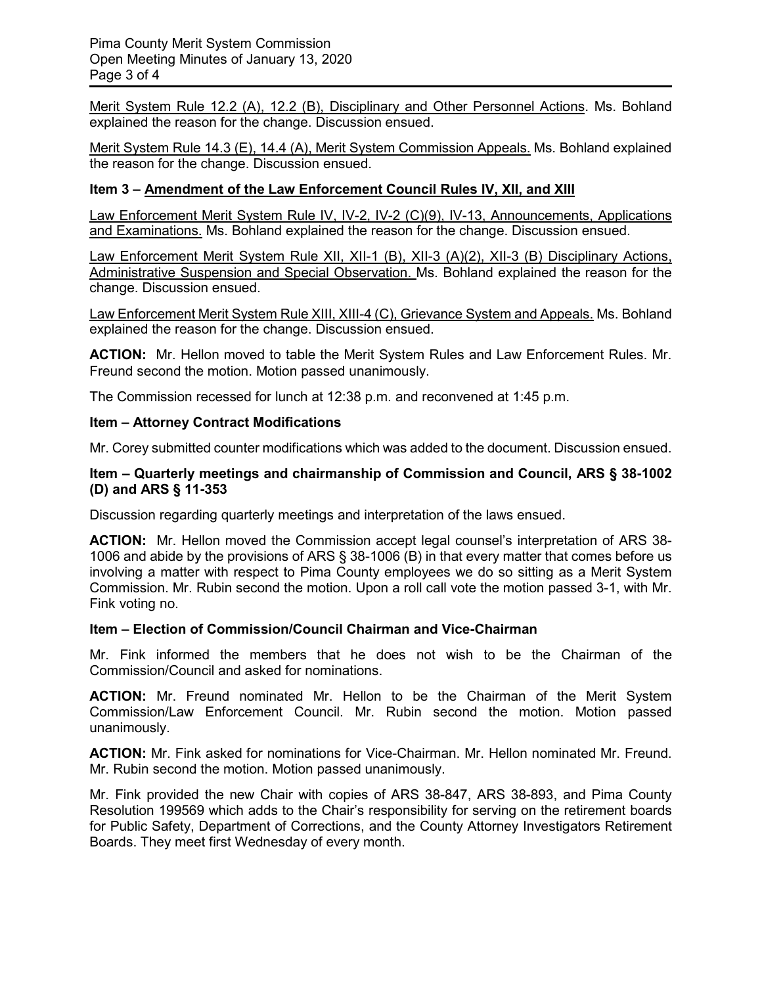Merit System Rule 12.2 (A), 12.2 (B), Disciplinary and Other Personnel Actions. Ms. Bohland explained the reason for the change. Discussion ensued.

Merit System Rule 14.3 (E), 14.4 (A), Merit System Commission Appeals. Ms. Bohland explained the reason for the change. Discussion ensued.

### **Item 3 – Amendment of the Law Enforcement Council Rules IV, XII, and XIII**

Law Enforcement Merit System Rule IV, IV-2, IV-2 (C)(9), IV-13, Announcements, Applications and Examinations. Ms. Bohland explained the reason for the change. Discussion ensued.

Law Enforcement Merit System Rule XII, XII-1 (B), XII-3 (A)(2), XII-3 (B) Disciplinary Actions, Administrative Suspension and Special Observation. Ms. Bohland explained the reason for the change. Discussion ensued.

Law Enforcement Merit System Rule XIII, XIII-4 (C), Grievance System and Appeals. Ms. Bohland explained the reason for the change. Discussion ensued.

**ACTION:** Mr. Hellon moved to table the Merit System Rules and Law Enforcement Rules. Mr. Freund second the motion. Motion passed unanimously.

The Commission recessed for lunch at 12:38 p.m. and reconvened at 1:45 p.m.

#### **Item – Attorney Contract Modifications**

Mr. Corey submitted counter modifications which was added to the document. Discussion ensued.

#### **Item – Quarterly meetings and chairmanship of Commission and Council, ARS § 38-1002 (D) and ARS § 11-353**

Discussion regarding quarterly meetings and interpretation of the laws ensued.

**ACTION:** Mr. Hellon moved the Commission accept legal counsel's interpretation of ARS 38- 1006 and abide by the provisions of ARS § 38-1006 (B) in that every matter that comes before us involving a matter with respect to Pima County employees we do so sitting as a Merit System Commission. Mr. Rubin second the motion. Upon a roll call vote the motion passed 3-1, with Mr. Fink voting no.

### **Item – Election of Commission/Council Chairman and Vice-Chairman**

Mr. Fink informed the members that he does not wish to be the Chairman of the Commission/Council and asked for nominations.

**ACTION:** Mr. Freund nominated Mr. Hellon to be the Chairman of the Merit System Commission/Law Enforcement Council. Mr. Rubin second the motion. Motion passed unanimously.

**ACTION:** Mr. Fink asked for nominations for Vice-Chairman. Mr. Hellon nominated Mr. Freund. Mr. Rubin second the motion. Motion passed unanimously.

Mr. Fink provided the new Chair with copies of ARS 38-847, ARS 38-893, and Pima County Resolution 199569 which adds to the Chair's responsibility for serving on the retirement boards for Public Safety, Department of Corrections, and the County Attorney Investigators Retirement Boards. They meet first Wednesday of every month.